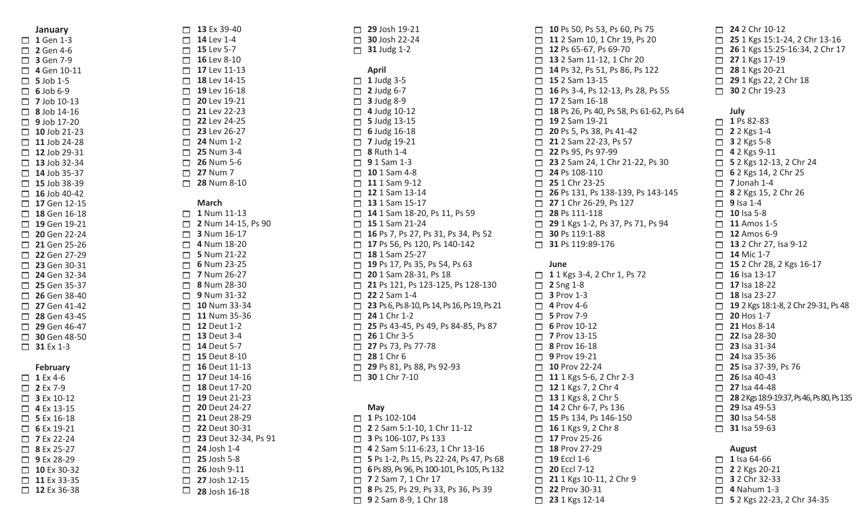**January** □ 1 Gen 1-3 Gen 4-6 Gen 7-9 Gen 10-11  $\Box$  5 Job  $\Box$  6 Job  $\Box$  7 Job  $\Box$  8 Job  $\Box$  9 Job  $\Box$  10 Jo  $\Box$  11 Jo  $\Box$  12 Jo  $\Box$  13 Jo  $\Box$  14 Jo  $\Box$  15 Jo  $\Box$  16 Jo  $\Box$  17 Ge  $\Box$  18 Ge  $\Box$  19 Ge  $\Box$  20 Ge  $\Box$  21 Ge  $\Box$  22 Ge  $\Box$  23 Ge  $\Box$  24 Ge  $\Box$  25 Ge  $\Box$  26 Ge  $\Box$  27 Ge  $\Box$  28 Ge  $\Box$  29 Ge  $\Box$  30 Ge  $\Box$  31 Ex **Febru**  $\Box$  1 Ex 4 Ex 7-9 Ex 10-12 Ex Ex 16-18 Ex 19-21 □ 7 Ex 2 Ex 25-27 □ 9 Ex 2 

| $\Box$       | 5 Job 1-5        |
|--------------|------------------|
| □.           | <b>6</b> Job 6-9 |
| $\Box$       | 7 Job 10-13      |
| $\Box$       | 8 Job 14-16      |
| $\Box$       | 9 Job 17-20      |
| $\Box$       | 10 Job 21-23     |
|              | 11 Job 24-28     |
| $\Box$       | 12 Job 29-31     |
| $\Box$       |                  |
|              | 13 Job 32-34     |
| $\Box$       | 14 Job 35-37     |
| $\Box$       | 15 Job 38-39     |
|              | 16 Job 40-42     |
| $\Box$       | 17 Gen 12-15     |
| $\Box$       | 18 Gen 16-18     |
| $\Box$       | 19 Gen 19-21     |
| $\Box$       | 20 Gen 22-24     |
| $\Box$       | 21 Gen 25-26     |
|              | 22 Gen 27-29     |
| $\Box$       | 23 Gen 30-31     |
| $\bar{\Box}$ | 24 Gen 32-34     |
| $\Box$       | 25 Gen 35-37     |
|              | 26 Gen 38-40     |
| $\Box$       | 27 Gen 41-42     |
| $\Box$       | 28 Gen 43-45     |
| $\Box$       | 29 Gen 46-47     |
| $\Box$       | 30 Gen 48-50     |
| $\Box$       | 31 Ex 1-3        |
|              |                  |
|              |                  |
|              |                  |
|              | <b>February</b>  |
| $\Box$       | 1 Ex 4-6         |
| $\Box$       | 2 Ex 7-9         |
| $\Box$       | 3 Ex 10-12       |
| $\Box$       | 4 Ex 13-15       |
| $\Box$       | 5 Ex 16-18       |
| $\Box$       | 6 Ex 19-21       |
| $\Box$       | 7 Ex 22-24       |
| $\Box$       | 8 Ex 25-27       |
| ā            | 9 Ex 28-29       |
| $\Box$       | 10 Ex 30-32      |
| $\Box$       | 11 Ex 33-35      |
| $\Box$       | 12 Ex 36-38      |
|              |                  |
|              |                  |

| $\Box$<br>$\Box$<br>$\Box$<br>$\Box$<br>$\Box$<br>$\Box$<br>$\Box$<br>$\Box$<br>$\Box$<br>$\Box$<br>$\Box$<br>$\Box$<br>$\Box$<br>$\Box$<br>$\Box$ | 13 Ex 39-40<br>14 Lev 1-4<br>15 Lev 5-7<br>16 Lev 8-10<br>17 Lev 11-13<br>18 Lev 14-15<br>19 Lev 16-18<br>20 Lev 19-21<br>21 Lev 22-23<br>22 Lev 24-25<br>23 Lev 26-27<br>24 Num 1-2<br>25 Num 3-4<br>26 Num 5-6<br><b>27 Num 7</b> |
|----------------------------------------------------------------------------------------------------------------------------------------------------|-------------------------------------------------------------------------------------------------------------------------------------------------------------------------------------------------------------------------------------|
|                                                                                                                                                    | 28 Num 8-10                                                                                                                                                                                                                         |
| $\Box$                                                                                                                                             | <b>March</b>                                                                                                                                                                                                                        |
| $\Box$                                                                                                                                             | 1 Num 11-13                                                                                                                                                                                                                         |
| $\Box$                                                                                                                                             | 2 Num 14-15, Ps 90                                                                                                                                                                                                                  |
| $\Box$                                                                                                                                             | 3 Num 16-17                                                                                                                                                                                                                         |
| $\Box$                                                                                                                                             | 4 Num 18-20                                                                                                                                                                                                                         |
| $\Box$                                                                                                                                             | 5 Num 21-22                                                                                                                                                                                                                         |
| $\Box$                                                                                                                                             | 6 Num 23-25                                                                                                                                                                                                                         |
| $\Box$                                                                                                                                             | 7 Num 26-27                                                                                                                                                                                                                         |
| $\Box$                                                                                                                                             | 8 Num 28-30                                                                                                                                                                                                                         |
| $\Box$                                                                                                                                             | 9 Num 31-32                                                                                                                                                                                                                         |
| $\Box$                                                                                                                                             | 10 Num 33-34                                                                                                                                                                                                                        |
| $\Box$                                                                                                                                             | 11 Num 35-36                                                                                                                                                                                                                        |
| $\Box$                                                                                                                                             | <b>12 Deut 1-2</b>                                                                                                                                                                                                                  |
| $\Box$                                                                                                                                             | <b>13 Deut 3-4</b>                                                                                                                                                                                                                  |
| $\Box$                                                                                                                                             | <b>14 Deut 5-7</b>                                                                                                                                                                                                                  |
| $\Box$                                                                                                                                             | <b>15 Deut 8-10</b><br>16 Deut 11-13                                                                                                                                                                                                |
| $\Box$                                                                                                                                             | 17 Deut 14-16                                                                                                                                                                                                                       |
| $\Box$<br>$\Box$                                                                                                                                   | 18 Deut 17-20                                                                                                                                                                                                                       |
|                                                                                                                                                    | 19 Deut 21-23                                                                                                                                                                                                                       |
| $\Box$<br>$\Box$                                                                                                                                   | 20 Deut 24-27                                                                                                                                                                                                                       |
| $\Box$                                                                                                                                             | 21 Deut 28-29                                                                                                                                                                                                                       |
| $\Box$                                                                                                                                             | 22 Deut 30-31                                                                                                                                                                                                                       |
| $\Box$                                                                                                                                             | 23 Deut 32-34, Ps 91                                                                                                                                                                                                                |
| $\Box$                                                                                                                                             | 24 Josh 1-4                                                                                                                                                                                                                         |
| $\Box$                                                                                                                                             | 25 Josh 5-8                                                                                                                                                                                                                         |
| $\Box$                                                                                                                                             | 26 Josh 9-11                                                                                                                                                                                                                        |
|                                                                                                                                                    | $\Box$ 27 Josh 12-15                                                                                                                                                                                                                |
| $\Box$                                                                                                                                             | 28 Josh 16-18                                                                                                                                                                                                                       |
|                                                                                                                                                    |                                                                                                                                                                                                                                     |

|        | 29 Josh 19-21<br>$\Box$ 30 Josh 22-24<br>$\Box$ 31 Judg 1-2                                                                                                                                                                                                                                                                                                                                                                                                                                                                                                                                                                                                                                                                                                                                                                             |
|--------|-----------------------------------------------------------------------------------------------------------------------------------------------------------------------------------------------------------------------------------------------------------------------------------------------------------------------------------------------------------------------------------------------------------------------------------------------------------------------------------------------------------------------------------------------------------------------------------------------------------------------------------------------------------------------------------------------------------------------------------------------------------------------------------------------------------------------------------------|
|        | <b>April</b><br>$\Box$ 1 Judg 3-5<br>$\Box$ 2 Judg 6-7<br>$\Box$ 3 Judg 8-9<br>$\Box$ 4 Judg 10-12<br>$\Box$ 5 Judg 13-15<br>$\Box$ 6 Judg 16-18<br>$\Box$ 7 Judg 19-21<br>$\Box$ 8 Ruth 1-4<br>$\Box$ 9 1 Sam 1-3<br>$\Box$ 10 1 Sam 4-8<br>$\Box$ 11 1 Sam 9-12<br>$\Box$ 12 1 Sam 13-14<br>$\Box$ 13 1 Sam 15-17<br>14 1 Sam 18-20, Ps 11, Ps 59<br>$\Box$ 15 1 Sam 21-24<br>$\Box$ 16 Ps 7, Ps 27, Ps 31, Ps 34, Ps 52<br>17 Ps 56, Ps 120, Ps 140-142<br>$\Box$ 18 1 Sam 25-27<br>19 Ps 17, Ps 35, Ps 54, Ps 63<br>20 1 Sam 28-31, Ps 18<br>21 Ps 121, Ps 123-125, Ps 128-130<br>$\Box$ 22 2 Sam 1-4<br>23 Ps 6, Ps 8-10, Ps 14, Ps 16, Ps 19, Ps 21<br>$\Box$ 24 1 Chr 1-2<br>25 Ps 43-45, Ps 49, Ps 84-85, Ps 87<br>$\Box$ 26 1 Chr 3-5<br>27 Ps 73, Ps 77-78<br>28 1 Chr 6<br>29 Ps 81, Ps 88, Ps 92-93<br>$\Box$ 30 1 Chr 7-10 |
| $\Box$ | May<br>1 Ps 102-104<br>$\begin{array}{l}\n\square$ <b>2</b> 2 Sam 5:1-10, 1 Chr 11-12<br>$\square$ <b>3</b> Ps 106-107, Ps 133<br>$\square$ <b>4</b> 2 Sam 5:11-6:23, 1 Chr 13-16<br>$\square$ <b>5</b> Ps 1-2, Ps 15, Ps 22-24, Ps 47, Ps 68<br>$\square$ <b>6</b> Ps 89, Ps 96, Ps 100-101, Ps 105, Ps 132<br>$\square$ <b>7</b> 2<br>9 2 Sam 8-9, 1 Chr 18                                                                                                                                                                                                                                                                                                                                                                                                                                                                           |

|                                           | $\Box$ 10 Ps 50, Ps 53, Ps 60, Ps 75<br>11 2 Sam 10, 1 Chr 19, Ps 20<br>12 Ps 65-67, Ps 69-70<br>13 2 Sam 11-12, 1 Chr 20<br>14 Ps 32, Ps 51, Ps 86, Ps 122<br>$\Box$ 15 2 Sam 13-15<br>$\Box$ 16 Ps 3-4, Ps 12-13, Ps 28, Ps 55<br>$\Box$ 17 2 Sam 16-18<br>$\Box$ 18 Ps 26, Ps 40, Ps 58, Ps 61-62, Ps 64<br>$\Box$ 19 2 Sam 19-21<br>20 Ps 5, Ps 38, Ps 41-42<br>21 2 Sam 22-23, Ps 57<br>22 Ps 95, Ps 97-99<br>23 2 Sam 24, 1 Chr 21-22, Ps 30<br>$\Box$ 24 Ps 108-110<br>$\Box$ 25 1 Chr 23-25<br>$\Box$ 26 Ps 131, Ps 138-139, Ps 143-145<br>27 1 Chr 26-29, Ps 127<br>$\Box$ 28 Ps 111-118<br>29 1 Kgs 1-2, Ps 37, Ps 71, Ps 94<br>$\Box$ 30 Ps 119:1-88<br>31 Ps 119:89-176 |
|-------------------------------------------|-------------------------------------------------------------------------------------------------------------------------------------------------------------------------------------------------------------------------------------------------------------------------------------------------------------------------------------------------------------------------------------------------------------------------------------------------------------------------------------------------------------------------------------------------------------------------------------------------------------------------------------------------------------------------------------|
| □<br>$\Box$<br>$\Box$<br>000001<br>$\Box$ | June<br>11 Kgs 3-4, 2 Chr 1, Ps 72<br>$\Box$ 2 Sng 1-8<br>$\Box$ 3 Prov 1-3<br>$\Box$ 4 Prov 4-6<br>$\Box$ 5 Prov 7-9<br>$\Box$ 6 Prov 10-12<br>$\Box$ 7 Prov 13-15<br>$\Box$ 8 Prov 16-18<br>9 Prov 19-21<br>$\Box$ 10 Prov 22-24<br>$\Box$ 11 1 Kgs 5-6, 2 Chr 2-3<br>$\Box$ 12 1 Kgs 7, 2 Chr 4<br>$\Box$ 13 1 Kgs 8, 2 Chr 5<br>14 2 Chr 6-7, Ps 136<br>15 Ps 134, Ps 146-150<br>16 1 Kgs 9, 2 Chr 8<br>17 Prov 25-26<br>18 Prov 27-29<br>19 Eccl 1-6<br>20 Eccl 7-12<br>21 1 Kgs 10-11, 2 Chr 9<br>22 Prov 30-31<br>23 1 Kgs 12-14                                                                                                                                             |

| $\Box$ | <b>24</b> 2 Chr 10-12<br>25 1 Kgs 15:1-24, 2 Chr 13-16<br>26 1 Kgs 15:25-16:34, 2 Chr 17<br>27 1 Kgs 17-19<br>28 1 Kgs 20-21<br>29 1 Kgs 22, 2 Chr 18<br>30 2 Chr 19-23                                                                         |
|--------|-------------------------------------------------------------------------------------------------------------------------------------------------------------------------------------------------------------------------------------------------|
|        | July<br>$\Box$ 1 Ps 82-83<br>$\Box$ 2 2 Kgs 1-4<br>$\Box$ 3 2 Kgs 5-8<br>$\Box$ 4 2 Kgs 9-11<br>□ 5 2 Kgs 12-13, 2 Chr 24<br>$\Box$ 6 2 Kgs 14, 2 Chr 25<br>$\Box$ 7 Jonah 1-4<br>8 2 Kgs 15, 2 Chr 26<br>$\Box$ 9 Isa 1-4<br>$\Box$ 10 Isa 5-8 |
|        | $\Box$ 11 Amos 1-5<br>$\Box$ 12 Amos 6-9<br>$\Box$ 13 2 Chr 27, Isa 9-12<br>$\Box$ 14 Mic 1-7                                                                                                                                                   |
| $\Box$ | 15 2 Chr 28, 2 Kgs 16-17                                                                                                                                                                                                                        |

| П                                                                                                | 24 2 Chr 10-12<br>25 1 Kgs 15:1-24, 2 Chr 13-16<br>26 1 Kgs 15:25-16:34, 2 Chr 17<br>27 1 Kgs 17-19<br>28 1 Kgs 20-21<br>29 1 Kgs 22, 2 Chr 18<br>30 2 Chr 19-23                                                                                                                                                                                                                                                                                                                                                                                                                                                                                                                                                               |
|--------------------------------------------------------------------------------------------------|--------------------------------------------------------------------------------------------------------------------------------------------------------------------------------------------------------------------------------------------------------------------------------------------------------------------------------------------------------------------------------------------------------------------------------------------------------------------------------------------------------------------------------------------------------------------------------------------------------------------------------------------------------------------------------------------------------------------------------|
| $\Box$<br>$\Box$<br>$\Box$<br>$\Box$<br>$\Box$<br>$\Box$<br>$\Box$<br>$\Box$<br>$\Box$<br>$\Box$ | July<br>$\Box$ 1 Ps 82-83<br>$\Box$ 2 2 Kgs 1-4<br>$\Box$ 3 2 Kgs 5-8<br>$\Box$ 4 2 Kgs 9-11<br>5 2 Kgs 12-13, 2 Chr 24<br>$\Box$ 6 2 Kgs 14, 2 Chr 25<br>$\Box$ 7 Jonah 1-4<br>$\Box$ 8 2 Kgs 15, 2 Chr 26<br>$\Box$ 9 Isa 1-4<br>10 Isa 5-8<br>11 Amos 1-5<br>$\Box$ 12 Amos 6-9<br>13 2 Chr 27, Isa 9-12<br>14 Mic 1-7<br>15 2 Chr 28, 2 Kgs 16-17<br>16 Isa 13-17<br>17 Isa 18-22<br>18 Isa 23-27<br>19 2 Kgs 18:1-8, 2 Chr 29-31, Ps 48<br>$\Box$ 20 Hos 1-7<br>$\Box$ 21 Hos 8-14<br>$\Box$ 22 Isa 28-30<br>$\Box$ 23 Isa 31-34<br>24 Isa 35-36<br>25 Isa 37-39, Ps 76<br>$\Box$ 26 Isa 40-43<br>$\Box$ 27 Isa 44-48<br>28 2 Kgs 18:9-19:37, Ps 46, Ps 80, Ps 135<br>$\Box$ 29 Isa 49-53<br>30 Isa 54-58<br>31 Isa 59-63 |
| □<br>$\Box$<br>$\Box$<br>$\Box$<br>$\Box$                                                        | <b>August</b><br>1 Isa 64-66<br>2 2 Kgs 20-21<br>3 2 Chr 32-33<br>4 Nahum 1-3<br>5 2 Kgs 22-23, 2 Chr 34-35                                                                                                                                                                                                                                                                                                                                                                                                                                                                                                                                                                                                                    |

- Nahum 1-3
- 2 Kgs 22-23, 2 Chr 34-35